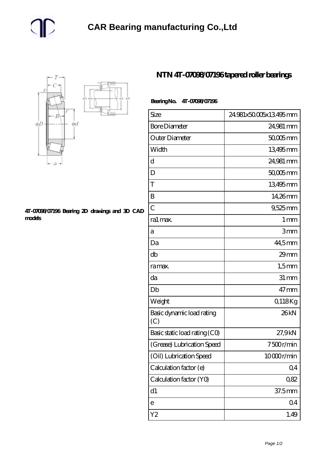

## **[4T-07098/07196 Bearing 2D drawings and 3D CAD](https://m.gmgyb.com/pic-48670.html) [models](https://m.gmgyb.com/pic-48670.html)**

## **[NTN 4T-07098/07196 tapered roller bearings](https://m.gmgyb.com/af-48670-ntn-4t-07098-07196-tapered-roller-bearings.html)**

## **Bearing No. 4T-07098/07196**

| Size                             | 24.981x50.005x13.495mm |
|----------------------------------|------------------------|
| <b>Bore Diameter</b>             | 24,981 mm              |
| Outer Diameter                   | 50,005 mm              |
| Width                            | 13495mm                |
| d                                | 24,981 mm              |
| D                                | 50,005 mm              |
| T                                | 13495mm                |
| B                                | 14,26mm                |
| $\overline{C}$                   | 9,525 mm               |
| ra1 max.                         | $1 \,\mathrm{mm}$      |
| а                                | 3mm                    |
| Da                               | 44,5mm                 |
| db                               | 29mm                   |
| ra max.                          | $1,5$ mm               |
| da                               | $31 \, \text{mm}$      |
| Db                               | $47 \,\mathrm{mm}$     |
| Weight                           | Q118Kg                 |
| Basic dynamic load rating<br>(C) | 26kN                   |
| Basic static load rating (CO)    | 27,9kN                 |
| (Grease) Lubrication Speed       | 7500r/min              |
| (Oil) Lubrication Speed          | 10000r/min             |
| Calculation factor (e)           | Q <sub>4</sub>         |
| Calculation factor (YO)          | 0,82                   |
| d1                               | 37.5mm                 |
| е                                | Q <sub>4</sub>         |
| Y2                               | 1.49                   |